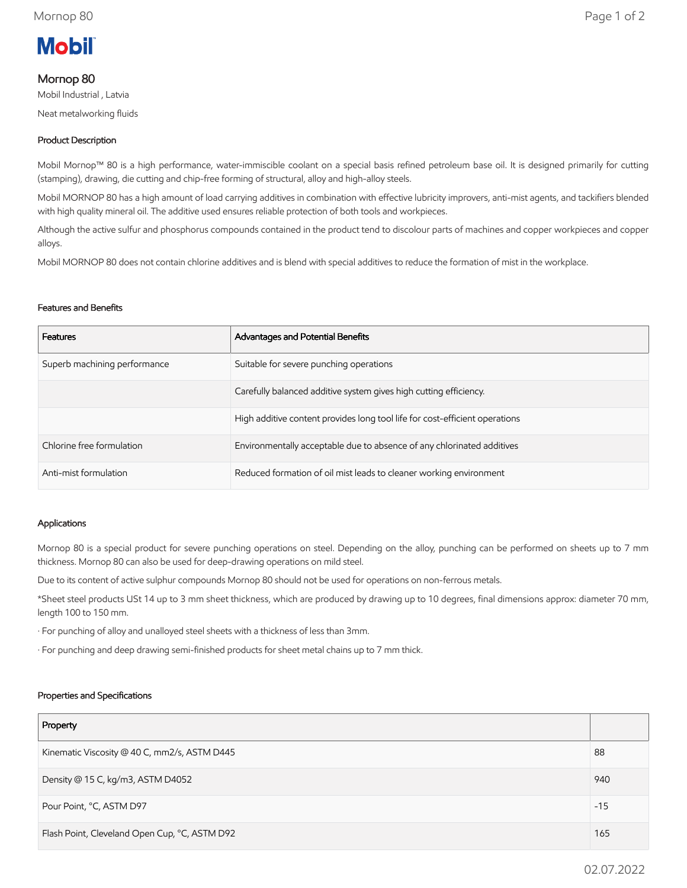

# Mornop 80

Mobil Industrial , Latvia

Neat metalworking fluids

# Product Description

Mobil Mornop™ 80 is a high performance, water-immiscible coolant on a special basis refined petroleum base oil. It is designed primarily for cutting (stamping), drawing, die cutting and chip-free forming of structural, alloy and high-alloy steels.

Mobil MORNOP 80 has a high amount of load carrying additives in combination with effective lubricity improvers, anti-mist agents, and tackifiers blended with high quality mineral oil. The additive used ensures reliable protection of both tools and workpieces.

Although the active sulfur and phosphorus compounds contained in the product tend to discolour parts of machines and copper workpieces and copper alloys.

Mobil MORNOP 80 does not contain chlorine additives and is blend with special additives to reduce the formation of mist in the workplace.

#### Features and Benefits

| Features                     | Advantages and Potential Benefits                                           |
|------------------------------|-----------------------------------------------------------------------------|
| Superb machining performance | Suitable for severe punching operations                                     |
|                              | Carefully balanced additive system gives high cutting efficiency.           |
|                              | High additive content provides long tool life for cost-efficient operations |
| Chlorine free formulation    | Environmentally acceptable due to absence of any chlorinated additives      |
| Anti-mist formulation        | Reduced formation of oil mist leads to cleaner working environment          |

#### Applications

Mornop 80 is a special product for severe punching operations on steel. Depending on the alloy, punching can be performed on sheets up to 7 mm thickness. Mornop 80 can also be used for deep-drawing operations on mild steel.

Due to its content of active sulphur compounds Mornop 80 should not be used for operations on non-ferrous metals.

\*Sheet steel products USt 14 up to 3 mm sheet thickness, which are produced by drawing up to 10 degrees, final dimensions approx: diameter 70 mm, length 100 to 150 mm.

· For punching of alloy and unalloyed steel sheets with a thickness of less than 3mm.

· For punching and deep drawing semi-finished products for sheet metal chains up to 7 mm thick.

### Properties and Specifications

| Property                                      |       |
|-----------------------------------------------|-------|
| Kinematic Viscosity @ 40 C, mm2/s, ASTM D445  | 88    |
| Density @ 15 C, kg/m3, ASTM D4052             | 940   |
| Pour Point, °C, ASTM D97                      | $-15$ |
| Flash Point, Cleveland Open Cup, °C, ASTM D92 | 165   |